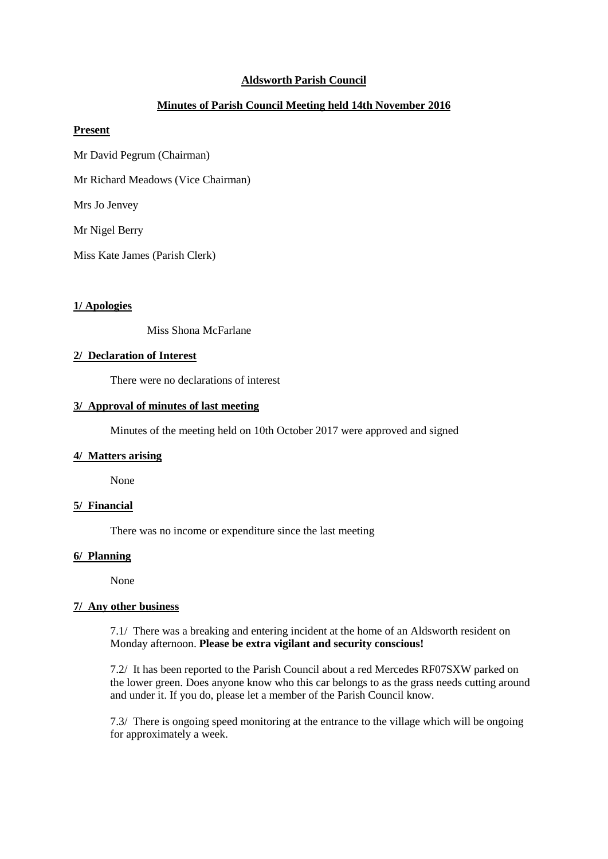# **Aldsworth Parish Council**

# **Minutes of Parish Council Meeting held 14th November 2016**

## **Present**

- Mr David Pegrum (Chairman)
- Mr Richard Meadows (Vice Chairman)

Mrs Jo Jenvey

Mr Nigel Berry

Miss Kate James (Parish Clerk)

#### **1/ Apologies**

Miss Shona McFarlane

## **2/ Declaration of Interest**

There were no declarations of interest

#### **3/ Approval of minutes of last meeting**

Minutes of the meeting held on 10th October 2017 were approved and signed

### **4/ Matters arising**

None

#### **5/ Financial**

There was no income or expenditure since the last meeting

## **6/ Planning**

None

#### **7/ Any other business**

7.1/ There was a breaking and entering incident at the home of an Aldsworth resident on Monday afternoon. **Please be extra vigilant and security conscious!**

7.2/ It has been reported to the Parish Council about a red Mercedes RF07SXW parked on the lower green. Does anyone know who this car belongs to as the grass needs cutting around and under it. If you do, please let a member of the Parish Council know.

7.3/ There is ongoing speed monitoring at the entrance to the village which will be ongoing for approximately a week.